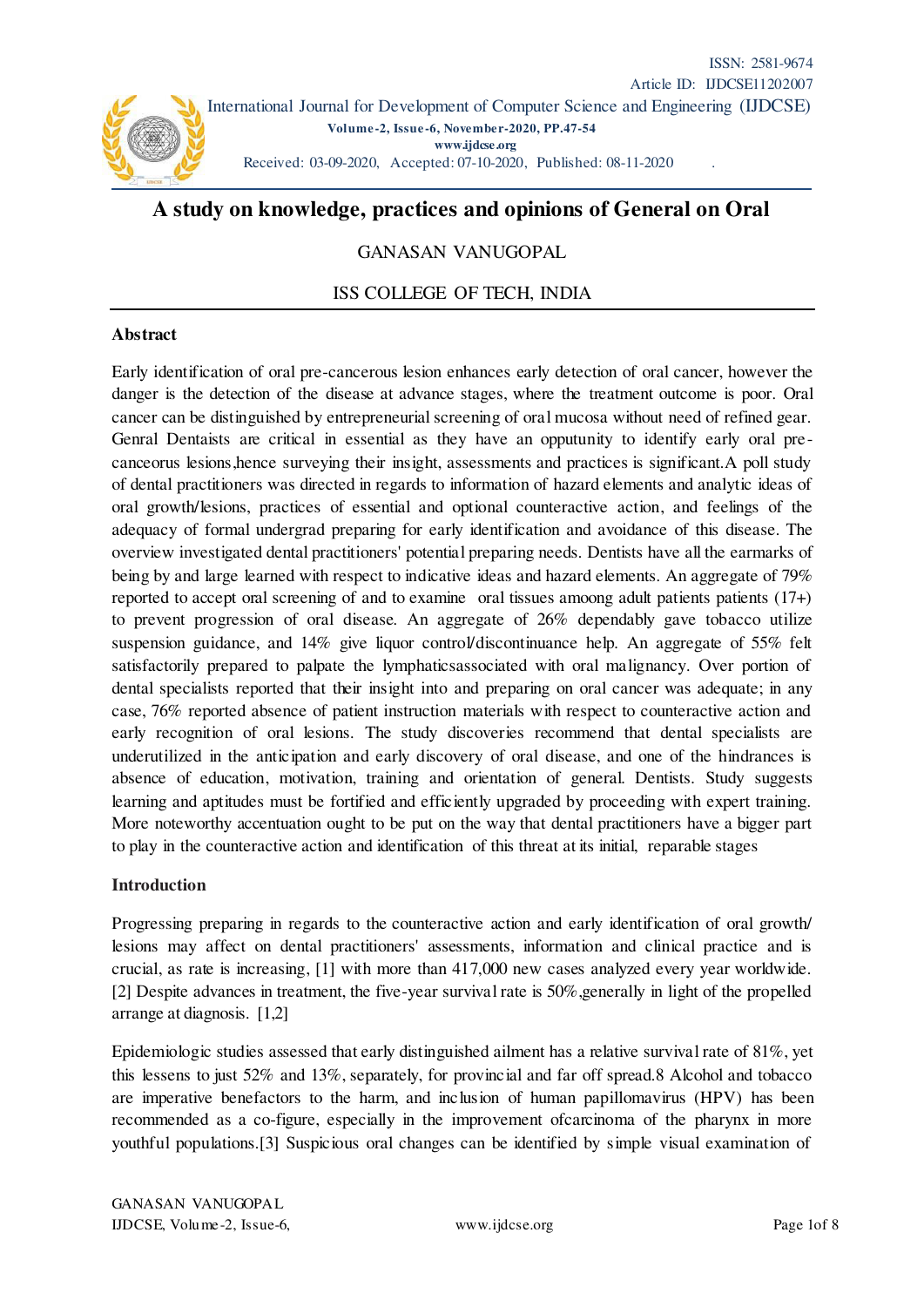

# **A study on knowledge, practices and opinions of General on Oral**

# GANASAN VANUGOPAL

## ISS COLLEGE OF TECH, INDIA

#### **Abstract**

Early identification of oral pre-cancerous lesion enhances early detection of oral cancer, however the danger is the detection of the disease at advance stages, where the treatment outcome is poor. Oral cancer can be distinguished by entrepreneurial screening of oral mucosa without need of refined gear. Genral Dentaists are critical in essential as they have an opputunity to identify early oral precanceorus lesions,hence surveying their insight, assessments and practices is significant.A poll study of dental practitioners was directed in regards to information of hazard elements and analytic ideas of oral growth/lesions, practices of essential and optional counteractive action, and feelings of the adequacy of formal undergrad preparing for early identification and avoidance of this disease. The overview investigated dental practitioners' potential preparing needs. Dentists have all the earmarks of being by and large learned with respect to indicative ideas and hazard elements. An aggregate of 79% reported to accept oral screening of and to examine oral tissues amoong adult patients patients (17+) to prevent progression of oral disease. An aggregate of 26% dependably gave tobacco utilize suspension guidance, and 14% give liquor control/discontinuance help. An aggregate of 55% felt satisfactorily prepared to palpate the lymphaticsassociated with oral malignancy. Over portion of dental specialists reported that their insight into and preparing on oral cancer was adequate; in any case, 76% reported absence of patient instruction materials with respect to counteractive action and early recognition of oral lesions. The study discoveries recommend that dental specialists are underutilized in the anticipation and early discovery of oral disease, and one of the hindrances is absence of education, motivation, training and orientation of general. Dentists. Study suggests learning and aptitudes must be fortified and efficiently upgraded by proceeding with expert training. More noteworthy accentuation ought to be put on the way that dental practitioners have a bigger part to play in the counteractive action and identification of this threat at its initial, reparable stages

#### **Introduction**

Progressing preparing in regards to the counteractive action and early identification of oral growth/ lesions may affect on dental practitioners' assessments, information and clinical practice and is crucial, as rate is increasing, [1] with more than 417,000 new cases analyzed every year worldwide. [2] Despite advances in treatment, the five-year survival rate is 50%, generally in light of the propelled arrange at diagnosis. [1,2]

Epidemiologic studies assessed that early distinguished ailment has a relative survival rate of 81%, yet this lessens to just 52% and 13%, separately, for provincial and far off spread.8 Alcohol and tobacco are imperative benefactors to the harm, and inclusion of human papillomavirus (HPV) has been recommended as a co-figure, especially in the improvement ofcarcinoma of the pharynx in more youthful populations.[3] Suspicious oral changes can be identified by simple visual examination of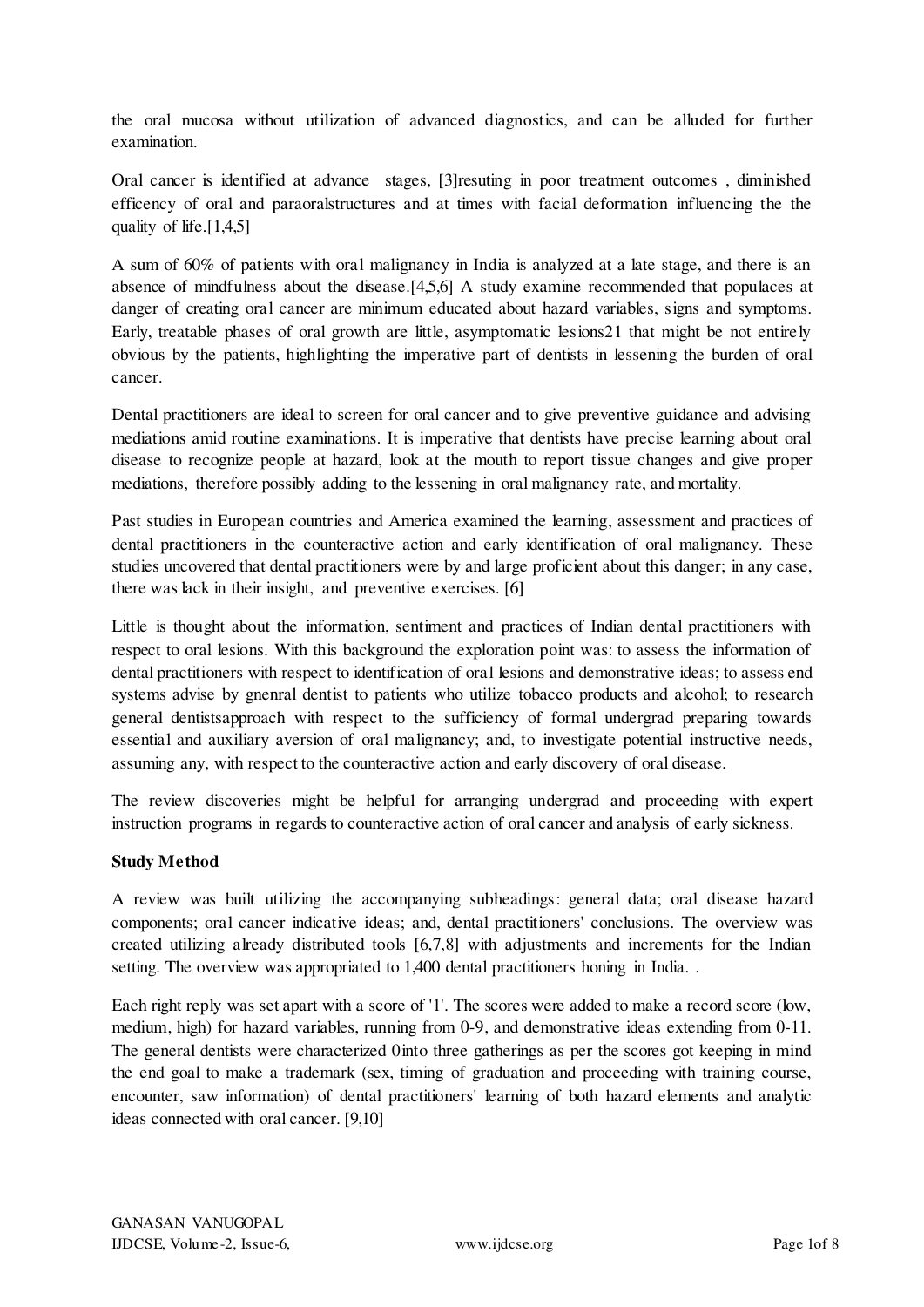the oral mucosa without utilization of advanced diagnostics, and can be alluded for further examination.

Oral cancer is identified at advance stages, [3]resuting in poor treatment outcomes , diminished efficency of oral and paraoralstructures and at times with facial deformation influencing the the quality of life. $[1,4,5]$ 

A sum of 60% of patients with oral malignancy in India is analyzed at a late stage, and there is an absence of mindfulness about the disease.[4,5,6] A study examine recommended that populaces at danger of creating oral cancer are minimum educated about hazard variables, signs and symptoms. Early, treatable phases of oral growth are little, asymptomatic lesions21 that might be not entirely obvious by the patients, highlighting the imperative part of dentists in lessening the burden of oral cancer.

Dental practitioners are ideal to screen for oral cancer and to give preventive guidance and advising mediations amid routine examinations. It is imperative that dentists have precise learning about oral disease to recognize people at hazard, look at the mouth to report tissue changes and give proper mediations, therefore possibly adding to the lessening in oral malignancy rate, and mortality.

Past studies in European countries and America examined the learning, assessment and practices of dental practitioners in the counteractive action and early identification of oral malignancy. These studies uncovered that dental practitioners were by and large proficient about this danger; in any case, there was lack in their insight, and preventive exercises. [6]

Little is thought about the information, sentiment and practices of Indian dental practitioners with respect to oral lesions. With this background the exploration point was: to assess the information of dental practitioners with respect to identification of oral lesions and demonstrative ideas; to assess end systems advise by gnenral dentist to patients who utilize tobacco products and alcohol; to research general dentistsapproach with respect to the sufficiency of formal undergrad preparing towards essential and auxiliary aversion of oral malignancy; and, to investigate potential instructive needs, assuming any, with respect to the counteractive action and early discovery of oral disease.

The review discoveries might be helpful for arranging undergrad and proceeding with expert instruction programs in regards to counteractive action of oral cancer and analysis of early sickness.

## **Study Method**

A review was built utilizing the accompanying subheadings: general data; oral disease hazard components; oral cancer indicative ideas; and, dental practitioners' conclusions. The overview was created utilizing already distributed tools [6,7,8] with adjustments and increments for the Indian setting. The overview was appropriated to 1,400 dental practitioners honing in India. .

Each right reply was set apart with a score of '1'. The scores were added to make a record score (low, medium, high) for hazard variables, running from 0-9, and demonstrative ideas extending from 0-11. The general dentists were characterized 0into three gatherings as per the scores got keeping in mind the end goal to make a trademark (sex, timing of graduation and proceeding with training course, encounter, saw information) of dental practitioners' learning of both hazard elements and analytic ideas connected with oral cancer. [9,10]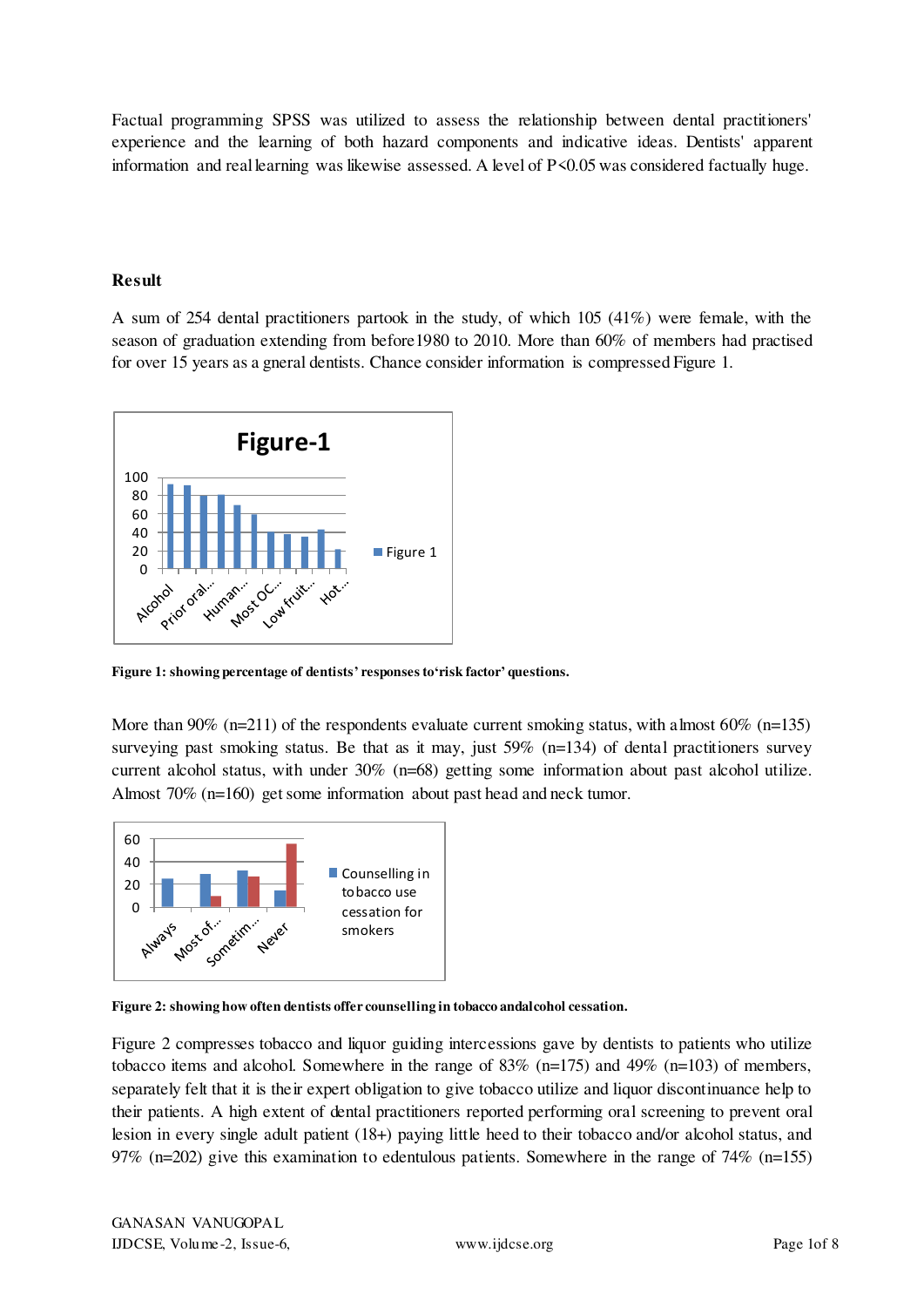Factual programming SPSS was utilized to assess the relationship between dental practitioners' experience and the learning of both hazard components and indicative ideas. Dentists' apparent information and real learning was likewise assessed. A level of P<0.05 was considered factually huge.

#### **Result**

A sum of 254 dental practitioners partook in the study, of which 105 (41%) were female, with the season of graduation extending from before1980 to 2010. More than 60% of members had practised for over 15 years as a gneral dentists. Chance consider information is compressed Figure 1.



**Figure 1: showing percentage of dentists' responses to'risk factor' questions.** 

More than 90% (n=211) of the respondents evaluate current smoking status, with almost  $60\%$  (n=135) surveying past smoking status. Be that as it may, just  $59\%$  (n=134) of dental practitioners survey current alcohol status, with under 30% (n=68) getting some information about past alcohol utilize. Almost 70% (n=160) get some information about past head and neck tumor.



**Figure 2: showing how often dentists offer counselling in tobacco andalcohol cessation.** 

Figure 2 compresses tobacco and liquor guiding intercessions gave by dentists to patients who utilize tobacco items and alcohol. Somewhere in the range of 83% (n=175) and 49% (n=103) of members, separately felt that it is their expert obligation to give tobacco utilize and liquor discontinuance help to their patients. A high extent of dental practitioners reported performing oral screening to prevent oral lesion in every single adult patient (18+) paying little heed to their tobacco and/or alcohol status, and 97% (n=202) give this examination to edentulous patients. Somewhere in the range of 74% (n=155)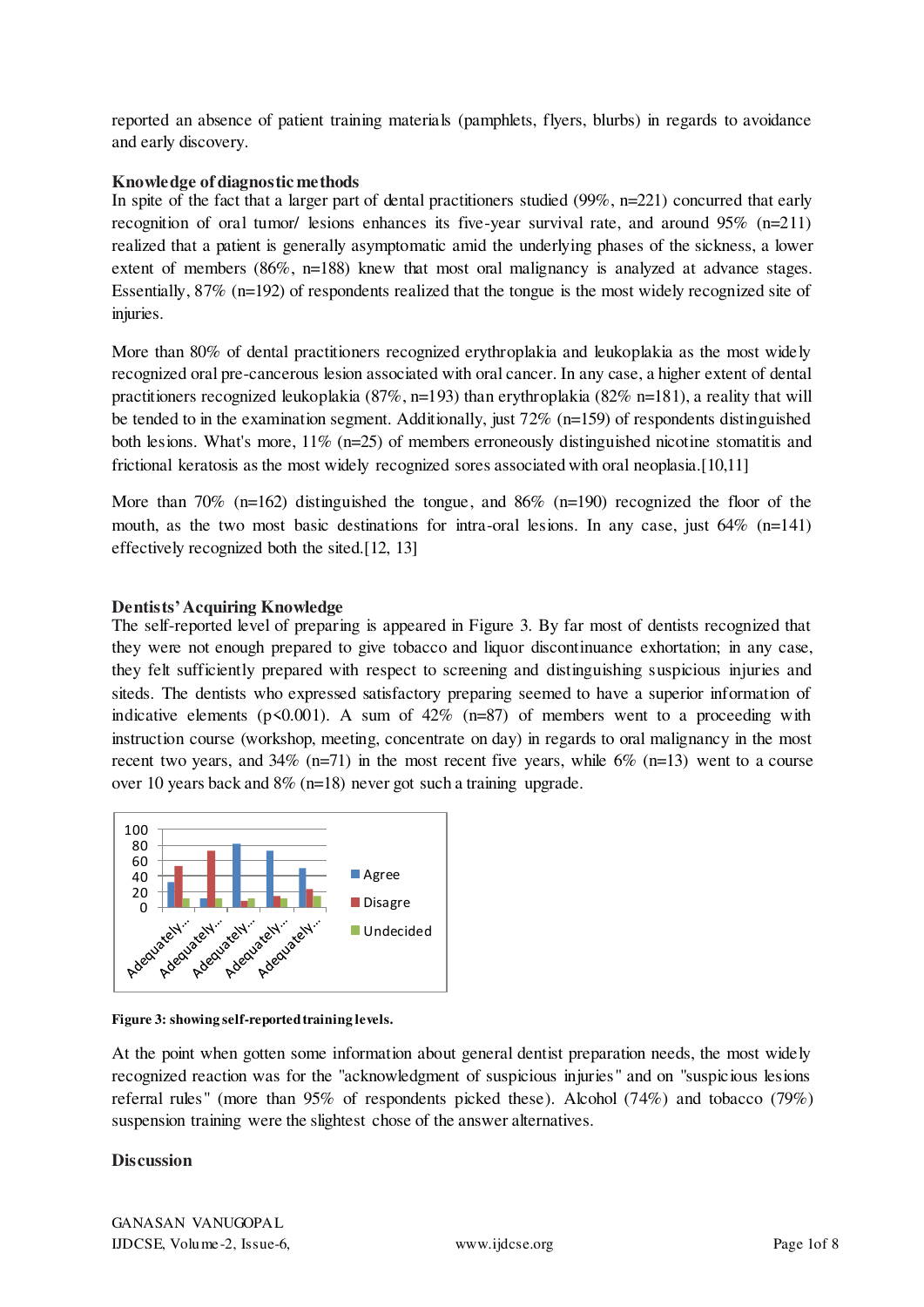reported an absence of patient training materials (pamphlets, flyers, blurbs) in regards to avoidance and early discovery.

#### **Knowledge of diagnostic methods**

In spite of the fact that a larger part of dental practitioners studied (99%, n=221) concurred that early recognition of oral tumor/ lesions enhances its five-year survival rate, and around 95% (n=211) realized that a patient is generally asymptomatic amid the underlying phases of the sickness, a lower extent of members (86%, n=188) knew that most oral malignancy is analyzed at advance stages. Essentially, 87% (n=192) of respondents realized that the tongue is the most widely recognized site of injuries.

More than 80% of dental practitioners recognized erythroplakia and leukoplakia as the most widely recognized oral pre-cancerous lesion associated with oral cancer. In any case, a higher extent of dental practitioners recognized leukoplakia (87%, n=193) than erythroplakia (82% n=181), a reality that will be tended to in the examination segment. Additionally, just  $72\%$  (n=159) of respondents distinguished both lesions. What's more,  $11\%$  (n=25) of members erroneously distinguished nicotine stomatitis and frictional keratosis as the most widely recognized sores associated with oral neoplasia.[10,11]

More than 70% (n=162) distinguished the tongue, and 86% (n=190) recognized the floor of the mouth, as the two most basic destinations for intra-oral lesions. In any case, just 64% (n=141) effectively recognized both the sited.[12, 13]

#### **Dentists' Acquiring Knowledge**

The self-reported level of preparing is appeared in Figure 3. By far most of dentists recognized that they were not enough prepared to give tobacco and liquor discontinuance exhortation; in any case, they felt sufficiently prepared with respect to screening and distinguishing suspicious injuries and siteds. The dentists who expressed satisfactory preparing seemed to have a superior information of indicative elements ( $p \le 0.001$ ). A sum of 42% (n=87) of members went to a proceeding with instruction course (workshop, meeting, concentrate on day) in regards to oral malignancy in the most recent two years, and  $34\%$  (n=71) in the most recent five years, while  $6\%$  (n=13) went to a course over 10 years back and 8% (n=18) never got such a training upgrade.



#### **Figure 3: showing self-reported training levels.**

At the point when gotten some information about general dentist preparation needs, the most widely recognized reaction was for the "acknowledgment of suspicious injuries" and on "suspicious lesions referral rules" (more than 95% of respondents picked these). Alcohol (74%) and tobacco (79%) suspension training were the slightest chose of the answer alternatives.

#### **Discussion**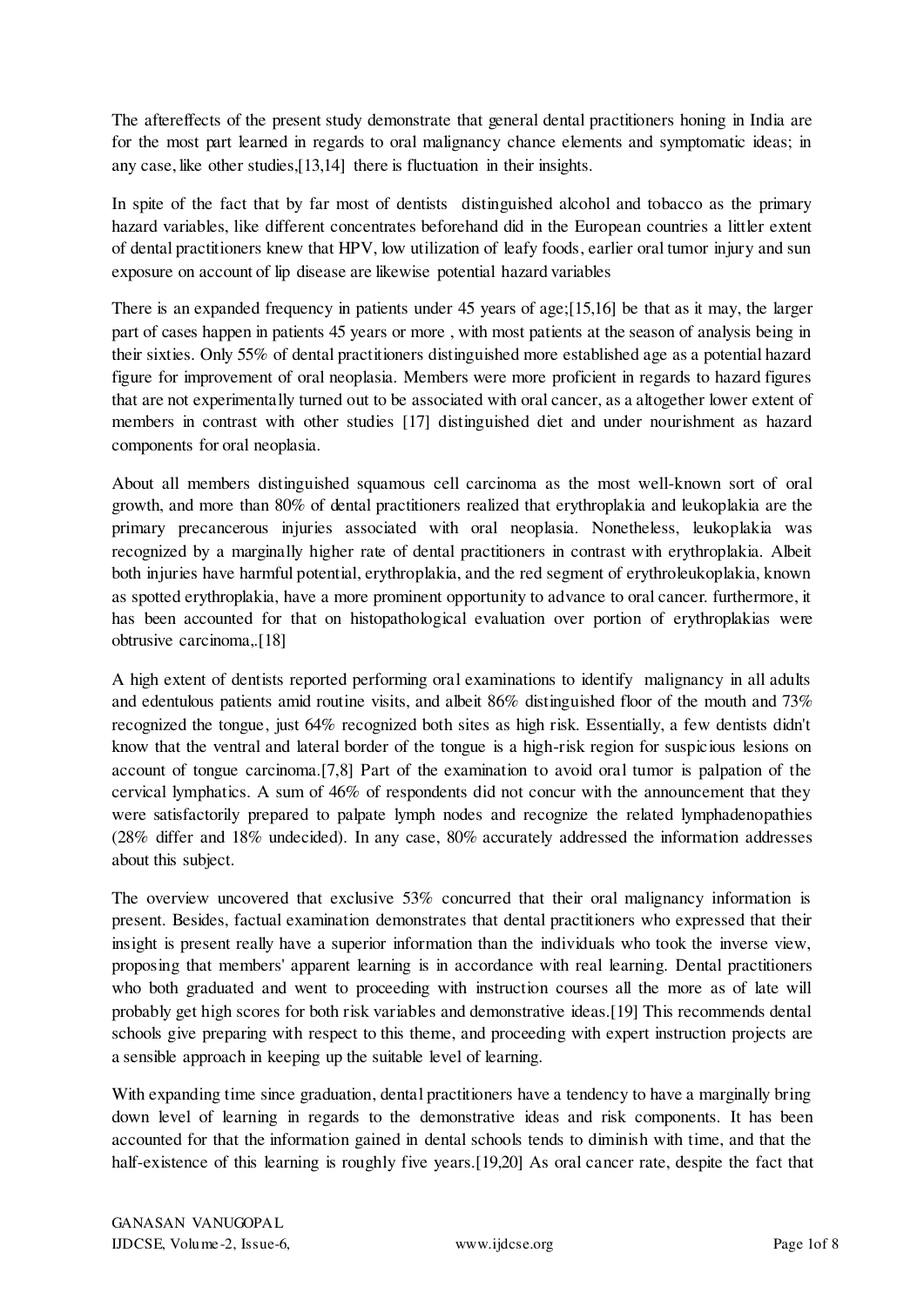The aftereffects of the present study demonstrate that general dental practitioners honing in India are for the most part learned in regards to oral malignancy chance elements and symptomatic ideas; in any case, like other studies,[13,14] there is fluctuation in their insights.

In spite of the fact that by far most of dentists distinguished alcohol and tobacco as the primary hazard variables, like different concentrates beforehand did in the European countries a littler extent of dental practitioners knew that HPV, low utilization of leafy foods, earlier oral tumor injury and sun exposure on account of lip disease are likewise potential hazard variables

There is an expanded frequency in patients under 45 years of age;[15,16] be that as it may, the larger part of cases happen in patients 45 years or more , with most patients at the season of analysis being in their sixties. Only 55% of dental practitioners distinguished more established age as a potential hazard figure for improvement of oral neoplasia. Members were more proficient in regards to hazard figures that are not experimentally turned out to be associated with oral cancer, as a altogether lower extent of members in contrast with other studies [17] distinguished diet and under nourishment as hazard components for oral neoplasia.

About all members distinguished squamous cell carcinoma as the most well-known sort of oral growth, and more than 80% of dental practitioners realized that erythroplakia and leukoplakia are the primary precancerous injuries associated with oral neoplasia. Nonetheless, leukoplakia was recognized by a marginally higher rate of dental practitioners in contrast with erythroplakia. Albeit both injuries have harmful potential, erythroplakia, and the red segment of erythroleukoplakia, known as spotted erythroplakia, have a more prominent opportunity to advance to oral cancer. furthermore, it has been accounted for that on histopathological evaluation over portion of erythroplakias were obtrusive carcinoma,.[18]

A high extent of dentists reported performing oral examinations to identify malignancy in all adults and edentulous patients amid routine visits, and albeit 86% distinguished floor of the mouth and 73% recognized the tongue, just 64% recognized both sites as high risk. Essentially, a few dentists didn't know that the ventral and lateral border of the tongue is a high-risk region for suspicious lesions on account of tongue carcinoma.[7,8] Part of the examination to avoid oral tumor is palpation of the cervical lymphatics. A sum of 46% of respondents did not concur with the announcement that they were satisfactorily prepared to palpate lymph nodes and recognize the related lymphadenopathies (28% differ and 18% undecided). In any case, 80% accurately addressed the information addresses about this subject.

The overview uncovered that exclusive 53% concurred that their oral malignancy information is present. Besides, factual examination demonstrates that dental practitioners who expressed that their insight is present really have a superior information than the individuals who took the inverse view, proposing that members' apparent learning is in accordance with real learning. Dental practitioners who both graduated and went to proceeding with instruction courses all the more as of late will probably get high scores for both risk variables and demonstrative ideas.[19] This recommends dental schools give preparing with respect to this theme, and proceeding with expert instruction projects are a sensible approach in keeping up the suitable level of learning.

With expanding time since graduation, dental practitioners have a tendency to have a marginally bring down level of learning in regards to the demonstrative ideas and risk components. It has been accounted for that the information gained in dental schools tends to diminish with time, and that the half-existence of this learning is roughly five years.[19,20] As oral cancer rate, despite the fact that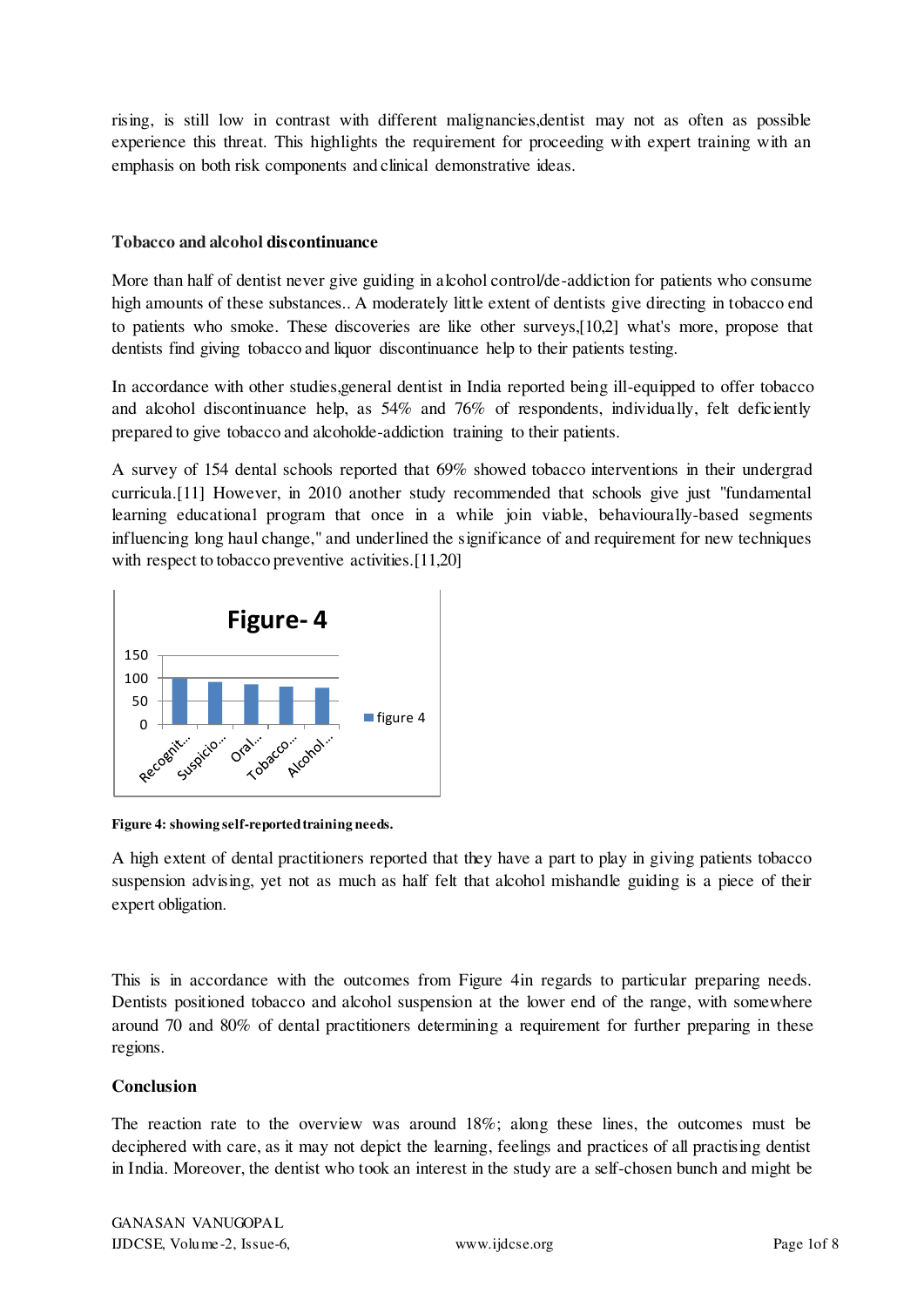rising, is still low in contrast with different malignancies,dentist may not as often as possible experience this threat. This highlights the requirement for proceeding with expert training with an emphasis on both risk components and clinical demonstrative ideas.

## **Tobacco and alcohol discontinuance**

More than half of dentist never give guiding in a looked control/de-addiction for patients who consume high amounts of these substances.. A moderately little extent of dentists give directing in tobacco end to patients who smoke. These discoveries are like other surveys,[10,2] what's more, propose that dentists find giving tobacco and liquor discontinuance help to their patients testing.

In accordance with other studies,general dentist in India reported being ill-equipped to offer tobacco and alcohol discontinuance help, as 54% and 76% of respondents, individually, felt deficiently prepared to give tobacco and alcoholde-addiction training to their patients.

A survey of 154 dental schools reported that 69% showed tobacco interventions in their undergrad curricula.[11] However, in 2010 another study recommended that schools give just "fundamental learning educational program that once in a while join viable, behaviourally-based segments influencing long haul change," and underlined the significance of and requirement for new techniques with respect to tobacco preventive activities.<sup>[11,20]</sup>



**Figure 4: showing self-reported training needs.** 

A high extent of dental practitioners reported that they have a part to play in giving patients tobacco suspension advising, yet not as much as half felt that alcohol mishandle guiding is a piece of their expert obligation.

This is in accordance with the outcomes from Figure 4in regards to particular preparing needs. Dentists positioned tobacco and alcohol suspension at the lower end of the range, with somewhere around 70 and 80% of dental practitioners determining a requirement for further preparing in these regions.

## **Conclusion**

The reaction rate to the overview was around 18%; along these lines, the outcomes must be deciphered with care, as it may not depict the learning, feelings and practices of all practising dentist in India. Moreover, the dentist who took an interest in the study are a self-chosen bunch and might be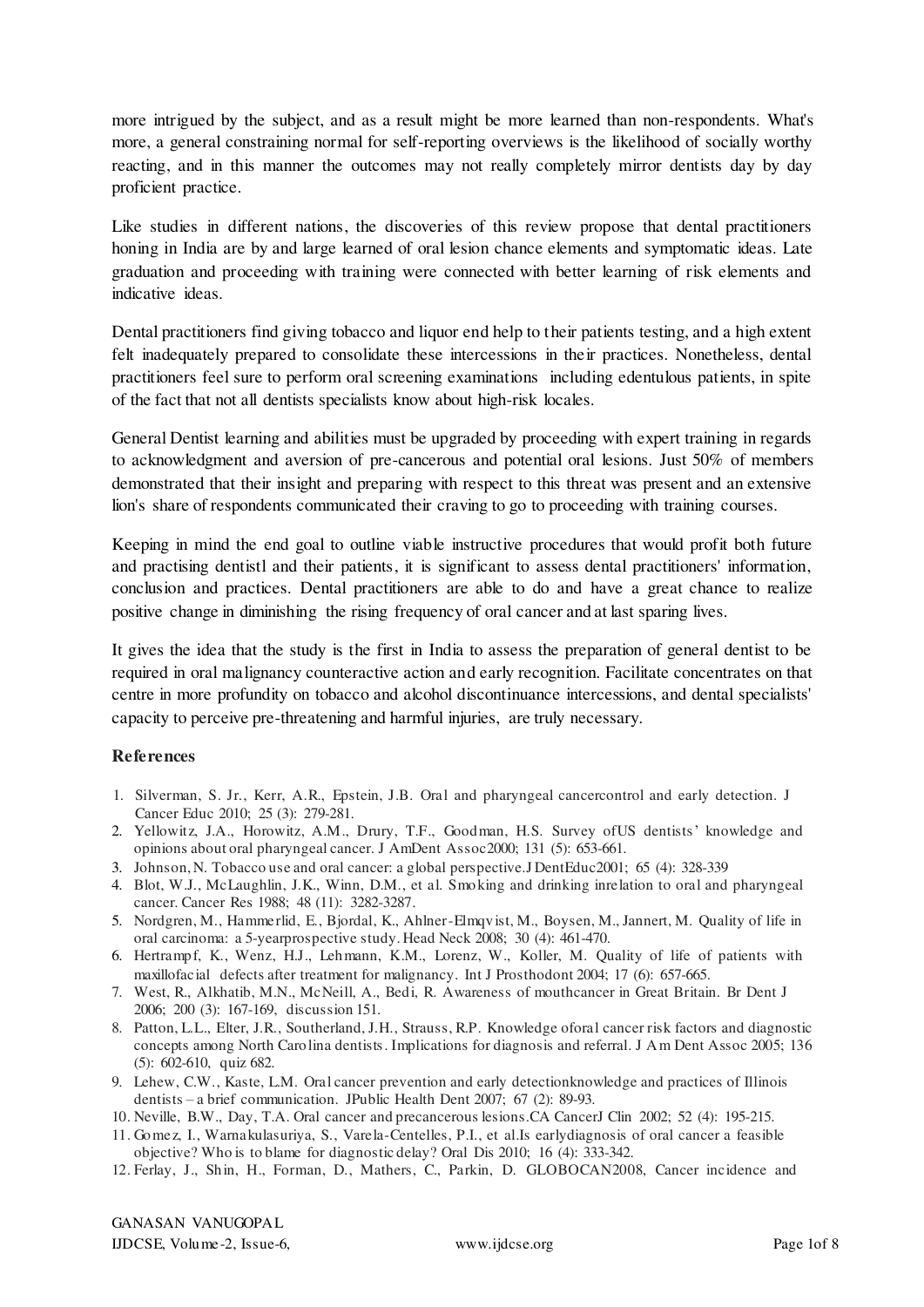more intrigued by the subject, and as a result might be more learned than non-respondents. What's more, a general constraining normal for self-reporting overviews is the likelihood of socially worthy reacting, and in this manner the outcomes may not really completely mirror dentists day by day proficient practice.

Like studies in different nations, the discoveries of this review propose that dental practitioners honing in India are by and large learned of oral lesion chance elements and symptomatic ideas. Late graduation and proceeding with training were connected with better learning of risk elements and indicative ideas.

Dental practitioners find giving tobacco and liquor end help to their patients testing, and a high extent felt inadequately prepared to consolidate these intercessions in their practices. Nonetheless, dental practitioners feel sure to perform oral screening examinations including edentulous patients, in spite of the fact that not all dentists specialists know about high-risk locales.

General Dentist learning and abilities must be upgraded by proceeding with expert training in regards to acknowledgment and aversion of pre-cancerous and potential oral lesions. Just 50% of members demonstrated that their insight and preparing with respect to this threat was present and an extensive lion's share of respondents communicated their craving to go to proceeding with training courses.

Keeping in mind the end goal to outline viable instructive procedures that would profit both future and practising dentistl and their patients, it is significant to assess dental practitioners' information, conclusion and practices. Dental practitioners are able to do and have a great chance to realize positive change in diminishing the rising frequency of oral cancer and at last sparing lives.

It gives the idea that the study is the first in India to assess the preparation of general dentist to be required in oral malignancy counteractive action and early recognition. Facilitate concentrates on that centre in more profundity on tobacco and alcohol discontinuance intercessions, and dental specialists' capacity to perceive pre-threatening and harmful injuries, are truly necessary.

## **References**

- 1. Silverman, S. Jr., Kerr, A.R., Epstein, J.B. Oral and pharyngeal cancercontrol and early detection. J Cancer Educ 2010; 25 (3): 279-281.
- 2. Yellowitz, J.A., Horowitz, A.M., Drury, T.F., Goodman, H.S. Survey ofUS dentists' knowledge and opinions about oral pharyngeal cancer. J AmDent Assoc2000; 131 (5): 653-661.
- 3. Johnson, N. Tobacco use and oral cancer: a global perspective.J DentEduc2001; 65 (4): 328-339
- 4. Blot, W.J., McLaughlin, J.K., Winn, D.M., et al. Smoking and drinking inrelation to oral and pharyngeal cancer. Cancer Res 1988; 48 (11): 3282-3287.
- 5. Nordgren, M., Hammerlid, E., Bjordal, K., Ahlner-Elmqvist, M., Boysen, M., Jannert, M. Quality of life in oral carcinoma: a 5-yearprospective study. Head Neck 2008; 30 (4): 461-470.
- 6. Hertrampf, K., Wenz, H.J., Lehmann, K.M., Lorenz, W., Koller, M. Quality of life of patients with maxillofacial defects after treatment for malignancy. Int J Prosthodont 2004; 17 (6): 657-665.
- 7. West, R., Alkhatib, M.N., McNeill, A., Bedi, R. Awareness of mouthcancer in Great Britain. Br Dent J 2006; 200 (3): 167-169, discussion 151.
- 8. Patton, L.L., Elter, J.R., Southerland, J.H., Strauss, R.P. Knowledge oforal cancer risk factors and diagnostic concepts among North Carolina dentists. Implications for diagnosis and referral. J Am Dent Assoc 2005; 136 (5): 602-610, quiz 682.
- 9. Lehew, C.W., Kaste, L.M. Oral cancer prevention and early detectionknowledge and practices of Illinois dentists – a brief communication. JPublic Health Dent 2007; 67 (2): 89-93.
- 10. Neville, B.W., Day, T.A. Oral cancer and precancerous lesions.CA CancerJ Clin 2002; 52 (4): 195-215.
- 11. Gomez, I., Warnakulasuriya, S., Varela-Centelles, P.I., et al.Is earlydiagnosis of oral cancer a feasible objective? Who is to blame for diagnostic delay? Oral Dis 2010; 16 (4): 333-342.
- 12. Ferlay, J., Shin, H., Forman, D., Mathers, C., Parkin, D. GLOBOCAN2008, Cancer incidence and